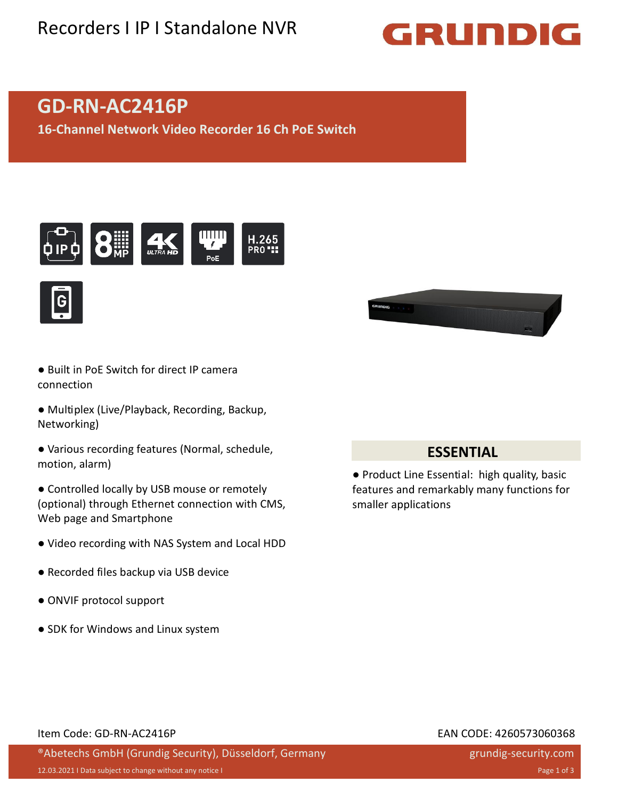## Recorders I IP I Standalone NVR

# GRUNDIG

## **GD-RN-AC2416P**

**16-Channel Network Video Recorder 16 Ch PoE Switch**





- Built in PoE Switch for direct IP camera connection
- Multiplex (Live/Playback, Recording, Backup, Networking)
- Various recording features (Normal, schedule, motion, alarm)
- Controlled locally by USB mouse or remotely (optional) through Ethernet connection with CMS, Web page and Smartphone
- Video recording with NAS System and Local HDD
- Recorded files backup via USB device
- ONVIF protocol support
- SDK for Windows and Linux system



### **ESSENTIAL**

● Product Line Essential: high quality, basic features and remarkably many functions for smaller applications

#### Item Code: GD-RN-AC2416P EAN CODE: 4260573060368

### ®Abetechs GmbH (Grundig Security), Düsseldorf, Germany

grundig-security.com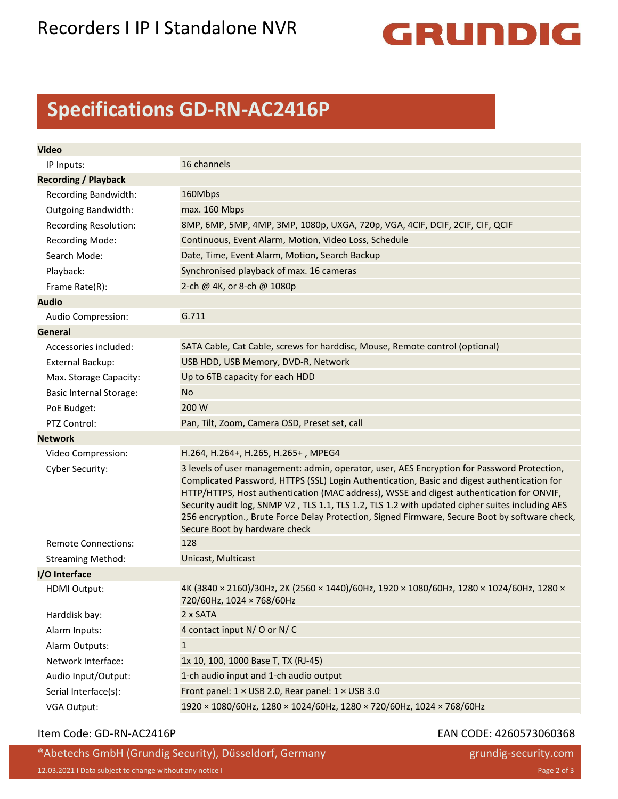## Recorders I IP I Standalone NVR



## **Specifications GD-RN-AC2416P**

| <b>Video</b>                   |                                                                                                                                                                                                                                                                                                                                                                                                                                                                                                                              |
|--------------------------------|------------------------------------------------------------------------------------------------------------------------------------------------------------------------------------------------------------------------------------------------------------------------------------------------------------------------------------------------------------------------------------------------------------------------------------------------------------------------------------------------------------------------------|
| IP Inputs:                     | 16 channels                                                                                                                                                                                                                                                                                                                                                                                                                                                                                                                  |
| <b>Recording / Playback</b>    |                                                                                                                                                                                                                                                                                                                                                                                                                                                                                                                              |
| Recording Bandwidth:           | 160Mbps                                                                                                                                                                                                                                                                                                                                                                                                                                                                                                                      |
| <b>Outgoing Bandwidth:</b>     | max. 160 Mbps                                                                                                                                                                                                                                                                                                                                                                                                                                                                                                                |
| <b>Recording Resolution:</b>   | 8MP, 6MP, 5MP, 4MP, 3MP, 1080p, UXGA, 720p, VGA, 4CIF, DCIF, 2CIF, CIF, QCIF                                                                                                                                                                                                                                                                                                                                                                                                                                                 |
| <b>Recording Mode:</b>         | Continuous, Event Alarm, Motion, Video Loss, Schedule                                                                                                                                                                                                                                                                                                                                                                                                                                                                        |
| Search Mode:                   | Date, Time, Event Alarm, Motion, Search Backup                                                                                                                                                                                                                                                                                                                                                                                                                                                                               |
| Playback:                      | Synchronised playback of max. 16 cameras                                                                                                                                                                                                                                                                                                                                                                                                                                                                                     |
| Frame Rate(R):                 | 2-ch @ 4K, or 8-ch @ 1080p                                                                                                                                                                                                                                                                                                                                                                                                                                                                                                   |
| <b>Audio</b>                   |                                                                                                                                                                                                                                                                                                                                                                                                                                                                                                                              |
| Audio Compression:             | G.711                                                                                                                                                                                                                                                                                                                                                                                                                                                                                                                        |
| General                        |                                                                                                                                                                                                                                                                                                                                                                                                                                                                                                                              |
| Accessories included:          | SATA Cable, Cat Cable, screws for harddisc, Mouse, Remote control (optional)                                                                                                                                                                                                                                                                                                                                                                                                                                                 |
| <b>External Backup:</b>        | USB HDD, USB Memory, DVD-R, Network                                                                                                                                                                                                                                                                                                                                                                                                                                                                                          |
| Max. Storage Capacity:         | Up to 6TB capacity for each HDD                                                                                                                                                                                                                                                                                                                                                                                                                                                                                              |
| <b>Basic Internal Storage:</b> | No.                                                                                                                                                                                                                                                                                                                                                                                                                                                                                                                          |
| PoE Budget:                    | 200 W                                                                                                                                                                                                                                                                                                                                                                                                                                                                                                                        |
| PTZ Control:                   | Pan, Tilt, Zoom, Camera OSD, Preset set, call                                                                                                                                                                                                                                                                                                                                                                                                                                                                                |
| <b>Network</b>                 |                                                                                                                                                                                                                                                                                                                                                                                                                                                                                                                              |
| Video Compression:             | H.264, H.264+, H.265, H.265+, MPEG4                                                                                                                                                                                                                                                                                                                                                                                                                                                                                          |
| Cyber Security:                | 3 levels of user management: admin, operator, user, AES Encryption for Password Protection,<br>Complicated Password, HTTPS (SSL) Login Authentication, Basic and digest authentication for<br>HTTP/HTTPS, Host authentication (MAC address), WSSE and digest authentication for ONVIF,<br>Security audit log, SNMP V2, TLS 1.1, TLS 1.2, TLS 1.2 with updated cipher suites including AES<br>256 encryption., Brute Force Delay Protection, Signed Firmware, Secure Boot by software check,<br>Secure Boot by hardware check |
| <b>Remote Connections:</b>     | 128                                                                                                                                                                                                                                                                                                                                                                                                                                                                                                                          |
| <b>Streaming Method:</b>       | Unicast, Multicast                                                                                                                                                                                                                                                                                                                                                                                                                                                                                                           |
| I/O Interface                  |                                                                                                                                                                                                                                                                                                                                                                                                                                                                                                                              |
| HDMI Output:                   | 4K (3840 × 2160)/30Hz, 2K (2560 × 1440)/60Hz, 1920 × 1080/60Hz, 1280 × 1024/60Hz, 1280 ×<br>720/60Hz, 1024 × 768/60Hz                                                                                                                                                                                                                                                                                                                                                                                                        |
| Harddisk bay:                  | 2 x SATA                                                                                                                                                                                                                                                                                                                                                                                                                                                                                                                     |
| Alarm Inputs:                  | 4 contact input N/O or N/C                                                                                                                                                                                                                                                                                                                                                                                                                                                                                                   |
| Alarm Outputs:                 | $\mathbf{1}$                                                                                                                                                                                                                                                                                                                                                                                                                                                                                                                 |
| Network Interface:             | 1x 10, 100, 1000 Base T, TX (RJ-45)                                                                                                                                                                                                                                                                                                                                                                                                                                                                                          |
| Audio Input/Output:            | 1-ch audio input and 1-ch audio output                                                                                                                                                                                                                                                                                                                                                                                                                                                                                       |
| Serial Interface(s):           | Front panel: 1 × USB 2.0, Rear panel: 1 × USB 3.0                                                                                                                                                                                                                                                                                                                                                                                                                                                                            |
| VGA Output:                    | 1920 × 1080/60Hz, 1280 × 1024/60Hz, 1280 × 720/60Hz, 1024 × 768/60Hz                                                                                                                                                                                                                                                                                                                                                                                                                                                         |

#### Item Code: GD-RN-AC2416P **EAN** CODE: 4260573060368

®Abetechs GmbH (Grundig Security), Düsseldorf, Germany